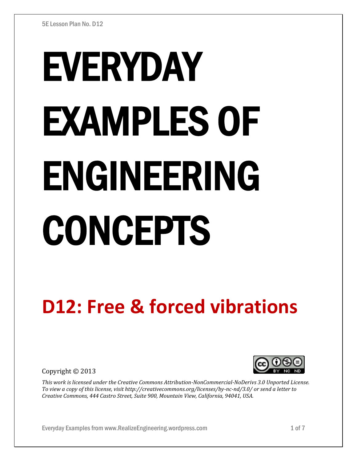# EVERYDAY EXAMPLES OF ENGINEERING CONCEPTS

# **D12: Free & forced vibrations**

Copyright © 2013



*This work is licensed under the Creative Commons Attribution-NonCommercial-NoDerivs 3.0 Unported License. To view a copy of this license, visit http://creativecommons.org/licenses/by-nc-nd/3.0/ or send a letter to Creative Commons, 444 Castro Street, Suite 900, Mountain View, California, 94041, USA.*

Everyday Examples from www.RealizeEngineering.wordpress.com 1 of 7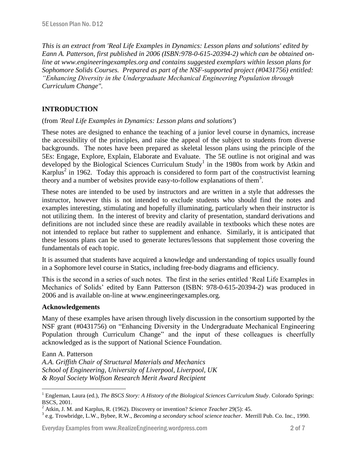*This is an extract from 'Real Life Examples in Dynamics: Lesson plans and solutions' edited by Eann A. Patterson, first published in 2006 (ISBN:978-0-615-20394-2) which can be obtained online at www.engineeringexamples.org and contains suggested exemplars within lesson plans for Sophomore Solids Courses. Prepared as part of the NSF-supported project (#0431756) entitled: "Enhancing Diversity in the Undergraduate Mechanical Engineering Population through Curriculum Change".* 

# **INTRODUCTION**

## (from *'Real Life Examples in Dynamics: Lesson plans and solutions'*)

These notes are designed to enhance the teaching of a junior level course in dynamics, increase the accessibility of the principles, and raise the appeal of the subject to students from diverse backgrounds. The notes have been prepared as skeletal lesson plans using the principle of the 5Es: Engage, Explore, Explain, Elaborate and Evaluate. The 5E outline is not original and was developed by the Biological Sciences Curriculum Study<sup>1</sup> in the 1980s from work by Atkin and Karplus<sup>2</sup> in 1962. Today this approach is considered to form part of the constructivist learning theory and a number of websites provide easy-to-follow explanations of them<sup>3</sup>.

These notes are intended to be used by instructors and are written in a style that addresses the instructor, however this is not intended to exclude students who should find the notes and examples interesting, stimulating and hopefully illuminating, particularly when their instructor is not utilizing them. In the interest of brevity and clarity of presentation, standard derivations and definitions are not included since these are readily available in textbooks which these notes are not intended to replace but rather to supplement and enhance. Similarly, it is anticipated that these lessons plans can be used to generate lectures/lessons that supplement those covering the fundamentals of each topic.

It is assumed that students have acquired a knowledge and understanding of topics usually found in a Sophomore level course in Statics, including free-body diagrams and efficiency.

This is the second in a series of such notes. The first in the series entitled 'Real Life Examples in Mechanics of Solids' edited by Eann Patterson (ISBN: 978-0-615-20394-2) was produced in 2006 and is available on-line at www.engineeringexamples.org.

## **Acknowledgements**

Many of these examples have arisen through lively discussion in the consortium supported by the NSF grant (#0431756) on "Enhancing Diversity in the Undergraduate Mechanical Engineering Population through Curriculum Change" and the input of these colleagues is cheerfully acknowledged as is the support of National Science Foundation.

Eann A. Patterson

 $\overline{a}$ 

*A.A. Griffith Chair of Structural Materials and Mechanics School of Engineering, University of Liverpool, Liverpool, UK & Royal Society Wolfson Research Merit Award Recipient*

<sup>&</sup>lt;sup>1</sup> Engleman, Laura (ed.), *The BSCS Story: A History of the Biological Sciences Curriculum Study*. Colorado Springs: BSCS, 2001.

<sup>2</sup> Atkin, J. M. and Karplus, R. (1962). Discovery or invention? *Science Teacher* 29(5): 45.

<sup>3</sup> e.g. Trowbridge, L.W., Bybee, R.W., *Becoming a secondary school science teacher*. Merrill Pub. Co. Inc., 1990.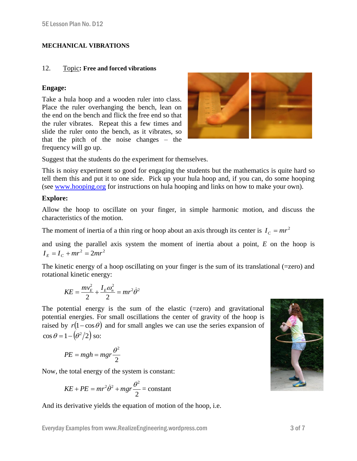### **MECHANICAL VIBRATIONS**

### 12. Topic**: Free and forced vibrations**

### **Engage:**

Take a hula hoop and a wooden ruler into class. Place the ruler overhanging the bench, lean on the end on the bench and flick the free end so that the ruler vibrates. Repeat this a few times and slide the ruler onto the bench, as it vibrates, so that the pitch of the noise changes – the frequency will go up.



Suggest that the students do the experiment for themselves.

This is noisy experiment so good for engaging the students but the mathematics is quite hard so tell them this and put it to one side. Pick up your hula hoop and, if you can, do some hooping (see [www.hooping.org](http://www.hooping.org/) for instructions on hula hooping and links on how to make your own).

## **Explore:**

Allow the hoop to oscillate on your finger, in simple harmonic motion, and discuss the characteristics of the motion.

The moment of inertia of a thin ring or hoop about an axis through its center is  $I_c = mr^2$ 

and using the parallel axis system the moment of inertia about a point, *E* on the hoop is  $I_E = I_C + mr^2 = 2mr^2$ 

The kinetic energy of a hoop oscillating on your finger is the sum of its translational (=zero) and rotational kinetic energy:

$$
KE = \frac{mv_E^2}{2} + \frac{I_E \omega_n^2}{2} = mr^2 \dot{\theta}^2
$$

The potential energy is the sum of the elastic  $(=zero)$  and gravitational potential energies. For small oscillations the center of gravity of the hoop is raised by  $r(1-\cos\theta)$  and for small angles we can use the series expansion of  $\cos \theta = 1 - (\theta^2/2)$  so:

$$
PE = mgh = mgr\frac{\theta^2}{2}
$$

Now, the total energy of the system is constant:

$$
KE + PE = mr^2\dot{\theta}^2 + mgr\frac{\theta^2}{2} = \text{constant}
$$

And its derivative yields the equation of motion of the hoop, i.e.

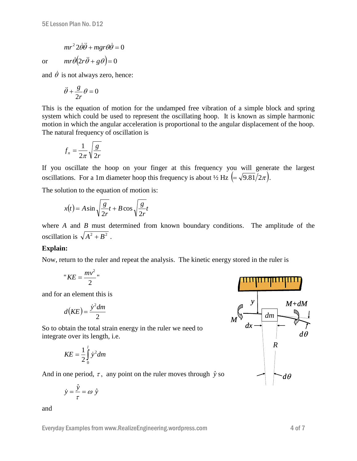$$
mr^2 2\dot{\theta}\ddot{\theta} + mgr\theta\dot{\theta} = 0
$$

or  $mr\dot{\theta}(2r\ddot{\theta}+g\theta)=0$ 

and  $\dot{\theta}$  is not always zero, hence:

$$
\ddot{\theta} + \frac{g}{2r}\theta = 0
$$

This is the equation of motion for the undamped free vibration of a simple block and spring system which could be used to represent the oscillating hoop. It is known as simple harmonic motion in which the angular acceleration is proportional to the angular displacement of the hoop. The natural frequency of oscillation is

$$
f_n = \frac{1}{2\pi} \sqrt{\frac{g}{2r}}
$$

If you oscillate the hoop on your finger at this frequency you will generate the largest oscillations. For a 1m diameter hoop this frequency is about  $\frac{1}{2}$  Hz  $\left(=\sqrt{9.81/2\pi}\right)$ .

The solution to the equation of motion is:

$$
x(t) = A \sin \sqrt{\frac{g}{2r}}t + B \cos \sqrt{\frac{g}{2r}}t
$$

where *A* and *B* must determined from known boundary conditions. The amplitude of the oscillation is  $\sqrt{A^2 + B^2}$ .

## **Explain:**

Now, return to the ruler and repeat the analysis. The kinetic energy stored in the ruler is

$$
"KE = \frac{mv^2}{2}"
$$

and for an element this is

$$
d\bigl(KE\bigr) = \frac{\dot{y}^2 dm}{2}
$$

So to obtain the total strain energy in the ruler we need to integrate over its length, i.e.

$$
KE = \frac{1}{2} \int_{0}^{l} \dot{y}^{2} dm
$$

And in one period,  $\tau$ , any point on the ruler moves through  $\hat{y}$  so

 $\dot{y} = \frac{\hat{y}}{} = \omega \hat{y}$ τ

and



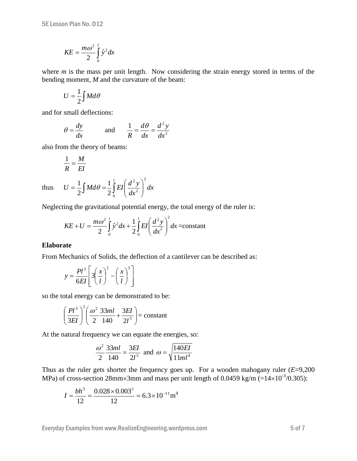$$
KE = \frac{m\omega^2}{2} \int_0^l \hat{y}^2 dx
$$

where *m* is the mass per unit length. Now considering the strain energy stored in terms of the bending moment, *M* and the curvature of the beam:

$$
U=\frac{1}{2}\int Md\theta
$$

and for small deflections:

$$
\theta = \frac{dy}{dx}
$$
 and  $\frac{1}{R} = \frac{d\theta}{dx} = \frac{d^2y}{dx^2}$ 

 $\int M d\theta = \frac{1}{2} \int EI \left( \frac{a}{dx^2} \right)$ 

2 1

0

 $U = \frac{1}{2} \int M d\theta = \frac{1}{2} \int E I \left( \frac{d^2 y}{dx^2} \right)$ 

*l*

 $\overline{\phantom{a}}$  $\setminus$ 

*dx*

2 2

ſ

also from the theory of beams:

 $=\frac{1}{b}$   $\vert$   $Md\theta =$ 

 $\frac{1}{\pi}$   $\int$  *Md*  $\theta$ 

$$
\frac{1}{R} = \frac{M}{EI}
$$

2

thus

Neglecting the gravitational potential energy, the total energy of the ruler is:

*dx*

 $\int$ 

 $\setminus$ 

2

$$
KE + U = \frac{m\omega^2}{2} \int_0^1 \hat{y}^2 dx + \frac{1}{2} \int_0^1 EI \left(\frac{d^2 y}{dx^2}\right)^2 dx = \text{constant}
$$

### **Elaborate**

From Mechanics of Solids, the deflection of a cantilever can be described as:

$$
y = \frac{Pl^3}{6EI} \left[ 3\left(\frac{x}{l}\right)^2 - \left(\frac{x}{l}\right)^3 \right]
$$

so the total energy can be demonstrated to be:

$$
\left(\frac{Pl^3}{3EI}\right)^2 \left(\frac{\omega^2}{2}\frac{33ml}{140} + \frac{3EI}{2l^3}\right) = \text{constant}
$$

At the natural frequency we can equate the energies, so:

$$
\frac{\omega^2}{2} \frac{33ml}{140} = \frac{3EI}{2l^3}
$$
 and  $\omega = \sqrt{\frac{140EI}{11ml^4}}$ 

Thus as the ruler gets shorter the frequency goes up. For a wooden mahogany ruler (*E*=9,200 MPa) of cross-section 28mm×3mm and mass per unit length of 0.0459 kg/m (= $14\times10^{-3}/0.305$ ):

$$
I = \frac{bh^3}{12} = \frac{0.028 \times 0.003^3}{12} = 6.3 \times 10^{-11} \text{m}^4
$$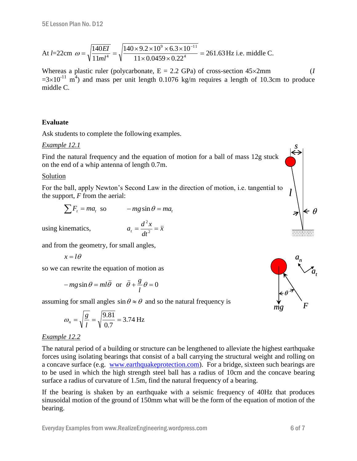At 
$$
l=22
$$
cm  $\omega = \sqrt{\frac{140EI}{11ml^4}} = \sqrt{\frac{140 \times 9.2 \times 10^9 \times 6.3 \times 10^{-11}}{11 \times 0.0459 \times 0.22^4}} = 261.63 \text{ Hz}$  i.e. middle C.

Whereas a plastic ruler (polycarbonate,  $E = 2.2$  GPa) of cross-section  $45 \times 2$ mm (*I*  $=3\times10^{-11}$  m<sup>4</sup>) and mass per unit length 0.1076 kg/m requires a length of 10.3cm to produce middle C.

### **Evaluate**

Ask students to complete the following examples.

### *Example 12.1*

Find the natural frequency and the equation of motion for a ball of mass 12g stuck on the end of a whip antenna of length 0.7m.

### Solution

For the ball, apply Newton's Second Law in the direction of motion, i.e. tangential to the support, *F* from the aerial:

$$
\sum F_t = ma_t \text{ so } -mg\sin\theta = ma_t
$$

using kinematics,

*x dt*  $a_t = \frac{d^2x}{dt^2} = \ddot{x}$ 2

and from the geometry, for small angles,

$$
x=l\theta
$$

so we can rewrite the equation of motion as

$$
-mg\sin\theta = ml\ddot{\theta} \text{ or } \ddot{\theta} + \frac{g}{l}\theta = 0
$$

assuming for small angles  $\sin \theta \approx \theta$  and so the natural frequency is

$$
\omega_n = \sqrt{\frac{g}{l}} = \sqrt{\frac{9.81}{0.7}} = 3.74 \text{ Hz}
$$

## *Example 12.2*

The natural period of a building or structure can be lengthened to alleviate the highest earthquake forces using isolating bearings that consist of a ball carrying the structural weight and rolling on a concave surface (e.g. [www.earthquakeprotection.com\)](http://www.earthquakeprotection.com/). For a bridge, sixteen such bearings are to be used in which the high strength steel ball has a radius of 10cm and the concave bearing surface a radius of curvature of 1.5m, find the natural frequency of a bearing.

If the bearing is shaken by an earthquake with a seismic frequency of 40Hz that produces sinusoidal motion of the ground of 150mm what will be the form of the equation of motion of the bearing.



*l*

*s*

 $\theta$